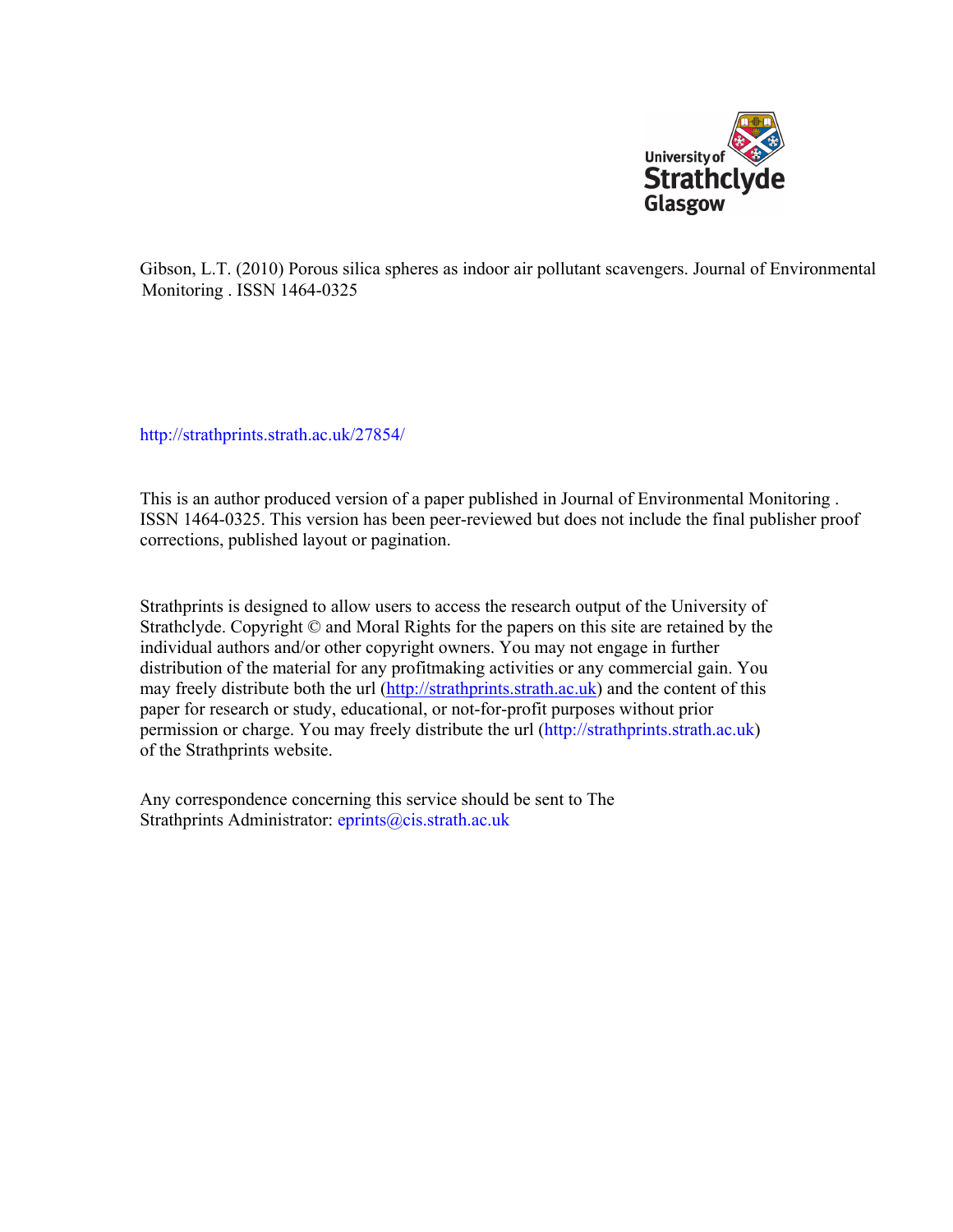

Gibson, L.T. (2010) Porous silica spheres as indoor air pollutant scavengers. Journal of Environmental Monitoring . ISSN 1464-0325

[http://strathprints.strath.ac.uk/](http://strathprints.strath.ac.uk/27854/)27854/

This is an author produced version of a paper published in Journal of Environmental Monitoring . ISSN 1464-0325. This version has been peer-reviewed but does not include the final publisher proof corrections, published layout or pagination.

Strathprints is designed to allow users to access the research output of the University of Strathclyde. Copyright © and Moral Rights for the papers on this site are retained by the individual authors and/or other copyright owners. You may not engage in further distribution of the material for any profitmaking activities or any commercial gain. You may freely distribute both the url [\(http://strathprints.strath.ac.uk](https://nemo.strath.ac.uk/exchweb/bin/redir.asp?URL=http://eprints.cdlr.strath.ac.uk)) and the content of this paper for research or study, educational, or not-for-profit purposes without prior permission or charge. You may freely distribute the url (http://strathprints.strath.ac.uk) of the Strathprints website.

Any correspondence concerning this service should be sent to The Strathprints Administrator: eprints@cis.strath.ac.uk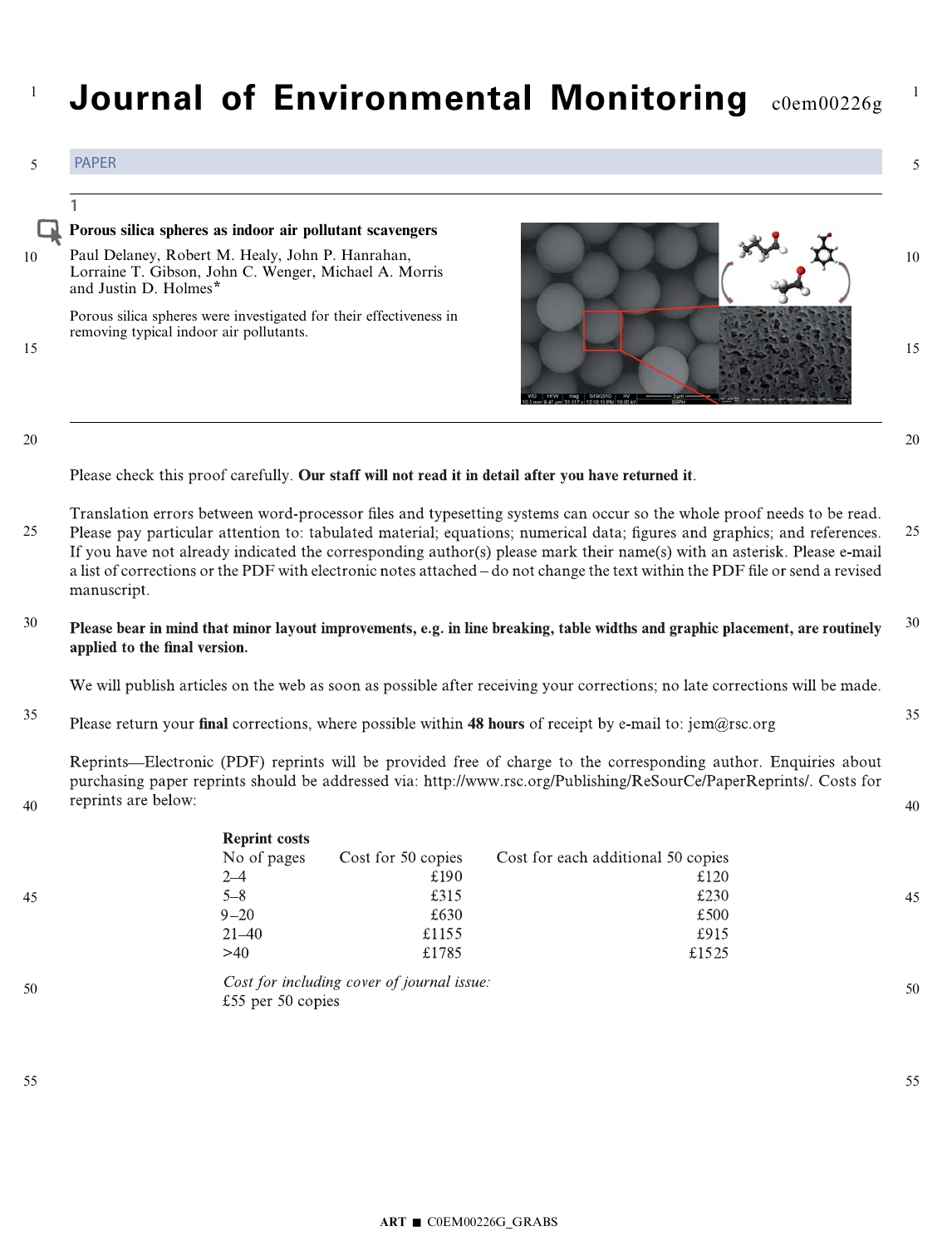#### Journal of Environmental Monitoring coem00226g 1 PAPER 5 5 1 Porous silica spheres as indoor air pollutant scavengers 10 Paul Delaney, Robert M. Healy, John P. Hanrahan, 10 Lorraine T. Gibson, John C. Wenger, Michael A. Morris and Justin D. Holmes\* Porous silica spheres were investigated for their effectiveness in removing typical indoor air pollutants. 15 15 20 20 Please check this proof carefully. Our staff will not read it in detail after you have returned it. Translation errors between word-processor files and typesetting systems can occur so the whole proof needs to be read. 25 Please pay particular attention to: tabulated material; equations; numerical data; figures and graphics; and references. 25 If you have not already indicated the corresponding author(s) please mark their name(s) with an asterisk. Please e-mail a list of corrections or the PDF with electronic notes attached – do not change the text within the PDF file or send a revised manuscript. 30 30 Please bear in mind that minor layout improvements, e.g. in line breaking, table widths and graphic placement, are routinely applied to the final version. We will publish articles on the web as soon as possible after receiving your corrections; no late corrections will be made. 35 35 Please return your final corrections, where possible within 48 hours of receipt by e-mail to:  $\text{jem@rsc.org}$ Reprints—Electronic (PDF) reprints will be provided free of charge to the corresponding author. Enquiries about purchasing paper reprints should be addressed via: http://www.rsc.org/Publishing/ReSourCe/PaperReprints/. Costs for reprints are below: 40 40 **Reprint costs** No of pages Cost for 50 copies Cost for each additional 50 copies  $2 - 4$ £190  $£120$  $5 - 8$ £315 £230 45 45  $9 - 20$ £630 £500

50

 $21 - 40$ 

£55 per 50 copies

 $>40$ 

50

£915

£1525

55

1

55

£1155

£1785

Cost for including cover of journal issue: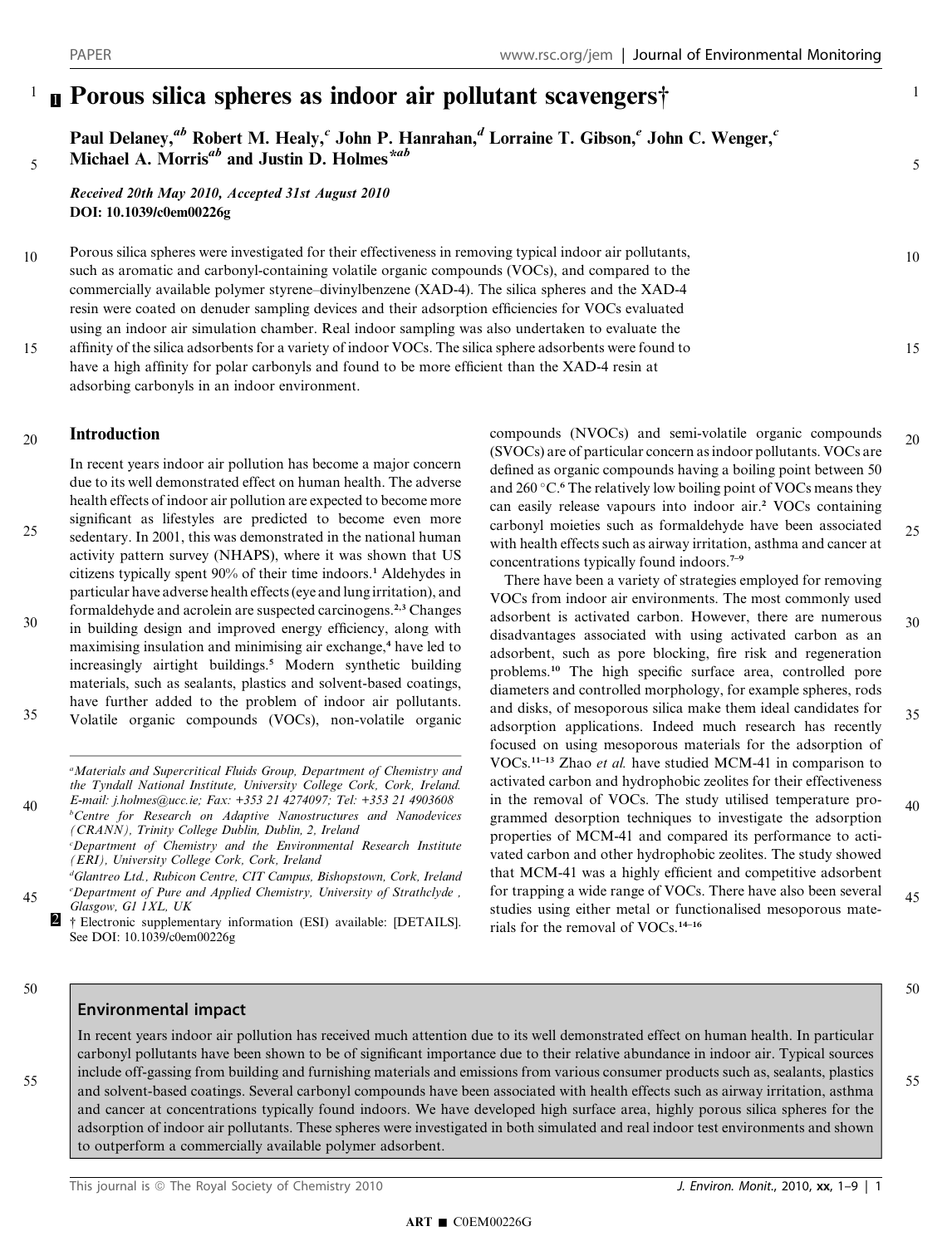#### <sup>1</sup> Porous silica spheres as indoor air pollutant scavengers† 1

using an indoor air simulation chamber. Real indoor sampling was also undertaken to evaluate the

Paul Delaney,<sup>ab</sup> Robert M. Healy,<sup>c</sup> John P. Hanrahan,<sup>d</sup> Lorraine T. Gibson,<sup>e</sup> John C. Wenger,<sup>c</sup> Michael A. Morris<sup>ab</sup> and Justin D. Holmes<sup>\*ab</sup>

Received 20th May 2010, Accepted 31st August 2010 DOI: 10.1039/c0em00226g

adsorbing carbonyls in an indoor environment.

Porous silica spheres were investigated for their effectiveness in removing typical indoor air pollutants, such as aromatic and carbonyl-containing volatile organic compounds (VOCs), and compared to the commercially available polymer styrene–divinylbenzene (XAD-4). The silica spheres and the XAD-4 resin were coated on denuder sampling devices and their adsorption efficiencies for VOCs evaluated 10

5

15

affinity of the silica adsorbents for a variety of indoor VOCs. The silica sphere adsorbents were found to have a high affinity for polar carbonyls and found to be more efficient than the XAD-4 resin at

Introduction 20

> In recent years indoor air pollution has become a major concern due to its well demonstrated effect on human health. The adverse health effects of indoor air pollution are expected to become more significant as lifestyles are predicted to become even more

sedentary. In 2001, this was demonstrated in the national human activity pattern survey (NHAPS), where it was shown that US citizens typically spent 90% of their time indoors.<sup>1</sup> Aldehydes in particular have adverse health effects (eye and lung irritation), and formaldehyde and acrolein are suspected carcinogens.2,3 Changes 25

in building design and improved energy efficiency, along with maximising insulation and minimising air exchange,<sup>4</sup> have led to increasingly airtight buildings.<sup>5</sup> Modern synthetic building materials, such as sealants, plastics and solvent-based coatings, have further added to the problem of indoor air pollutants. Volatile organic compounds (VOCs), non-volatile organic 30 35

<sup>a</sup>Materials and Supercritical Fluids Group, Department of Chemistry and the Tyndall National Institute, University College Cork, Cork, Ireland. E-mail: j.holmes@ucc.ie; Fax: +353 21 4274097; Tel: +353 21 4903608

b Centre for Research on Adaptive Nanostructures and Nanodevices (CRANN), Trinity College Dublin, Dublin, 2, Ireland c Department of Chemistry and the Environmental Research Institute 40

(ERI), University College Cork, Cork, Ireland d Glantreo Ltd., Rubicon Centre, CIT Campus, Bishopstown, Cork, Ireland

- e Department of Pure and Applied Chemistry, University of Strathclyde , Glasgow, G1 1XL, UK 45
	- <sup>2</sup> † Electronic supplementary information (ESI) available: [DETAILS]. See DOI: 10.1039/c0em00226g

compounds (NVOCs) and semi-volatile organic compounds (SVOCs) are of particular concern as indoor pollutants. VOCs are defined as organic compounds having a boiling point between 50 and 260 °C.<sup>6</sup> The relatively low boiling point of VOCs means they can easily release vapours into indoor air.<sup>2</sup> VOCs containing carbonyl moieties such as formaldehyde have been associated with health effects such as airway irritation, asthma and cancer at concentrations typically found indoors.7–9 20 25

There have been a variety of strategies employed for removing VOCs from indoor air environments. The most commonly used adsorbent is activated carbon. However, there are numerous disadvantages associated with using activated carbon as an adsorbent, such as pore blocking, fire risk and regeneration problems.<sup>10</sup> The high specific surface area, controlled pore diameters and controlled morphology, for example spheres, rods and disks, of mesoporous silica make them ideal candidates for adsorption applications. Indeed much research has recently focused on using mesoporous materials for the adsorption of VOCs.11–13 Zhao et al. have studied MCM-41 in comparison to activated carbon and hydrophobic zeolites for their effectiveness in the removal of VOCs. The study utilised temperature programmed desorption techniques to investigate the adsorption properties of MCM-41 and compared its performance to activated carbon and other hydrophobic zeolites. The study showed that MCM-41 was a highly efficient and competitive adsorbent for trapping a wide range of VOCs. There have also been several studies using either metal or functionalised mesoporous materials for the removal of VOCs.14–16 30 35 40 45

50

55

## Environmental impact

In recent years indoor air pollution has received much attention due to its well demonstrated effect on human health. In particular carbonyl pollutants have been shown to be of significant importance due to their relative abundance in indoor air. Typical sources include off-gassing from building and furnishing materials and emissions from various consumer products such as, sealants, plastics and solvent-based coatings. Several carbonyl compounds have been associated with health effects such as airway irritation, asthma and cancer at concentrations typically found indoors. We have developed high surface area, highly porous silica spheres for the adsorption of indoor air pollutants. These spheres were investigated in both simulated and real indoor test environments and shown to outperform a commercially available polymer adsorbent.

55

50

1

5

10

15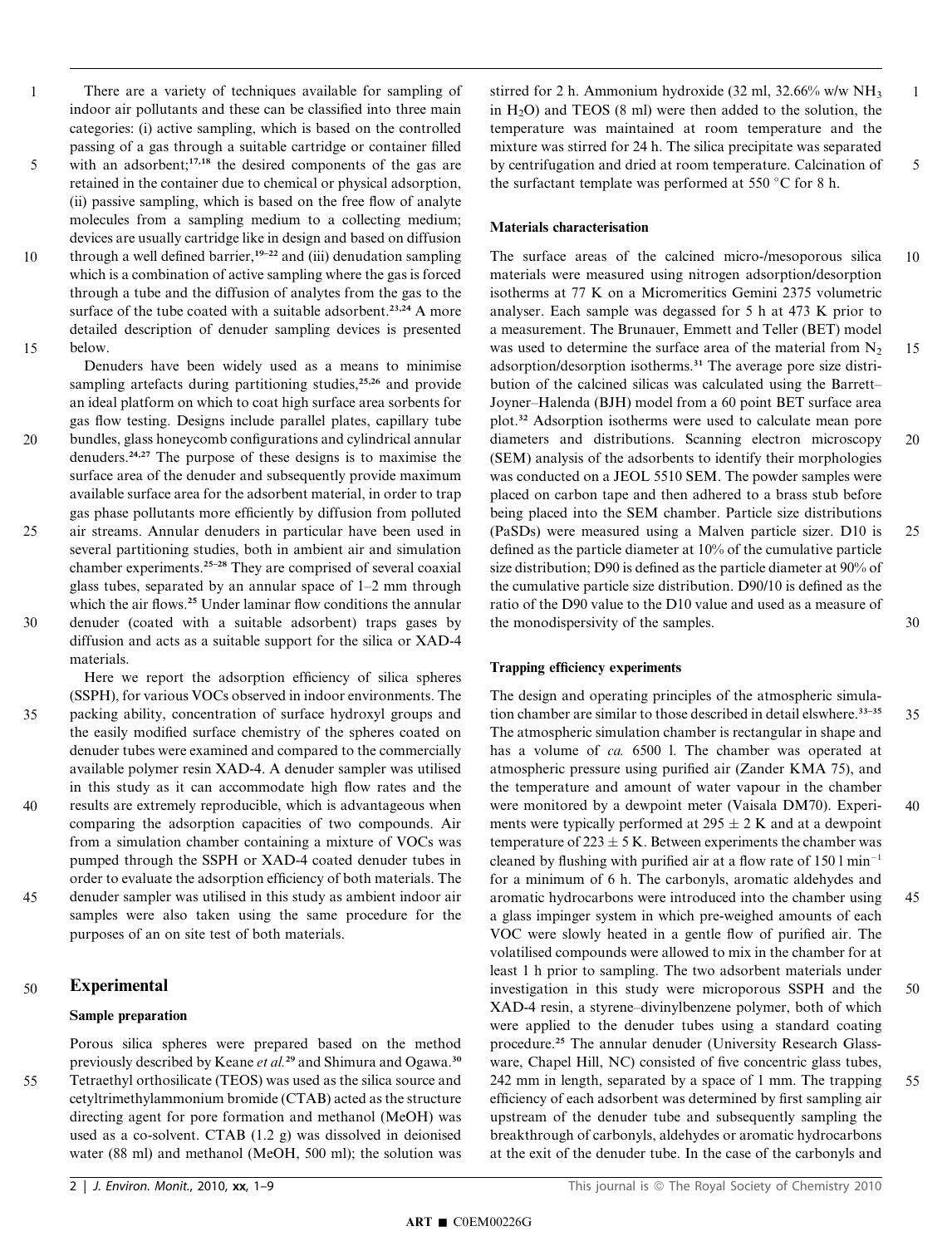There are a variety of techniques available for sampling of indoor air pollutants and these can be classified into three main categories: (i) active sampling, which is based on the controlled passing of a gas through a suitable cartridge or container filled with an adsorbent; $17,18$  the desired components of the gas are retained in the container due to chemical or physical adsorption, (ii) passive sampling, which is based on the free flow of analyte molecules from a sampling medium to a collecting medium; devices are usually cartridge like in design and based on diffusion through a well defined barrier,<sup>19–22</sup> and (iii) denudation sampling which is a combination of active sampling where the gas is forced through a tube and the diffusion of analytes from the gas to the surface of the tube coated with a suitable adsorbent.<sup>23,24</sup> A more detailed description of denuder sampling devices is presented below. 1 5 10 15

Denuders have been widely used as a means to minimise sampling artefacts during partitioning studies,<sup>25,26</sup> and provide an ideal platform on which to coat high surface area sorbents for gas flow testing. Designs include parallel plates, capillary tube bundles, glass honeycomb configurations and cylindrical annular denuders.24,27 The purpose of these designs is to maximise the surface area of the denuder and subsequently provide maximum available surface area for the adsorbent material, in order to trap gas phase pollutants more efficiently by diffusion from polluted

- air streams. Annular denuders in particular have been used in several partitioning studies, both in ambient air and simulation chamber experiments.<sup>25-28</sup> They are comprised of several coaxial glass tubes, separated by an annular space of 1–2 mm through which the air flows.<sup>25</sup> Under laminar flow conditions the annular denuder (coated with a suitable adsorbent) traps gases by 25 30
- diffusion and acts as a suitable support for the silica or XAD-4 materials.

Here we report the adsorption efficiency of silica spheres (SSPH), for various VOCs observed in indoor environments. The packing ability, concentration of surface hydroxyl groups and the easily modified surface chemistry of the spheres coated on denuder tubes were examined and compared to the commercially available polymer resin XAD-4. A denuder sampler was utilised in this study as it can accommodate high flow rates and the results are extremely reproducible, which is advantageous when comparing the adsorption capacities of two compounds. Air 35 40

- from a simulation chamber containing a mixture of VOCs was pumped through the SSPH or XAD-4 coated denuder tubes in order to evaluate the adsorption efficiency of both materials. The denuder sampler was utilised in this study as ambient indoor air 45
	- samples were also taken using the same procedure for the purposes of an on site test of both materials.

#### Experimental 50

20

## Sample preparation

Porous silica spheres were prepared based on the method previously described by Keane et al.<sup>29</sup> and Shimura and Ogawa.<sup>30</sup>

Tetraethyl orthosilicate (TEOS) was used as the silica source and cetyltrimethylammonium bromide (CTAB) acted as the structure directing agent for pore formation and methanol (MeOH) was used as a co-solvent. CTAB (1.2 g) was dissolved in deionised water (88 ml) and methanol (MeOH, 500 ml); the solution was 55

1

5

### Materials characterisation

The surface areas of the calcined micro-/mesoporous silica materials were measured using nitrogen adsorption/desorption isotherms at 77 K on a Micromeritics Gemini 2375 volumetric analyser. Each sample was degassed for 5 h at 473 K prior to a measurement. The Brunauer, Emmett and Teller (BET) model was used to determine the surface area of the material from  $N<sub>2</sub>$ adsorption/desorption isotherms.<sup>31</sup> The average pore size distribution of the calcined silicas was calculated using the Barrett– Joyner–Halenda (BJH) model from a 60 point BET surface area plot.<sup>32</sup> Adsorption isotherms were used to calculate mean pore diameters and distributions. Scanning electron microscopy (SEM) analysis of the adsorbents to identify their morphologies was conducted on a JEOL 5510 SEM. The powder samples were placed on carbon tape and then adhered to a brass stub before being placed into the SEM chamber. Particle size distributions (PaSDs) were measured using a Malven particle sizer. D10 is defined as the particle diameter at 10% of the cumulative particle size distribution; D90 is defined as the particle diameter at 90% of the cumulative particle size distribution. D90/10 is defined as the ratio of the D90 value to the D10 value and used as a measure of the monodispersivity of the samples. 10 15 20 25 30

## Trapping efficiency experiments

The design and operating principles of the atmospheric simulation chamber are similar to those described in detail elswhere.<sup>33-35</sup> The atmospheric simulation chamber is rectangular in shape and has a volume of *ca.* 6500 l. The chamber was operated at atmospheric pressure using purified air (Zander KMA 75), and the temperature and amount of water vapour in the chamber were monitored by a dewpoint meter (Vaisala DM70). Experiments were typically performed at  $295 \pm 2$  K and at a dewpoint temperature of  $223 \pm 5$  K. Between experiments the chamber was cleaned by flushing with purified air at a flow rate of  $150 \text{ l min}^{-1}$ for a minimum of 6 h. The carbonyls, aromatic aldehydes and aromatic hydrocarbons were introduced into the chamber using a glass impinger system in which pre-weighed amounts of each VOC were slowly heated in a gentle flow of purified air. The volatilised compounds were allowed to mix in the chamber for at least 1 h prior to sampling. The two adsorbent materials under investigation in this study were microporous SSPH and the XAD-4 resin, a styrene–divinylbenzene polymer, both of which were applied to the denuder tubes using a standard coating procedure.<sup>25</sup> The annular denuder (University Research Glassware, Chapel Hill, NC) consisted of five concentric glass tubes, 242 mm in length, separated by a space of 1 mm. The trapping efficiency of each adsorbent was determined by first sampling air upstream of the denuder tube and subsequently sampling the breakthrough of carbonyls, aldehydes or aromatic hydrocarbons at the exit of the denuder tube. In the case of the carbonyls and 35 40 45 50 55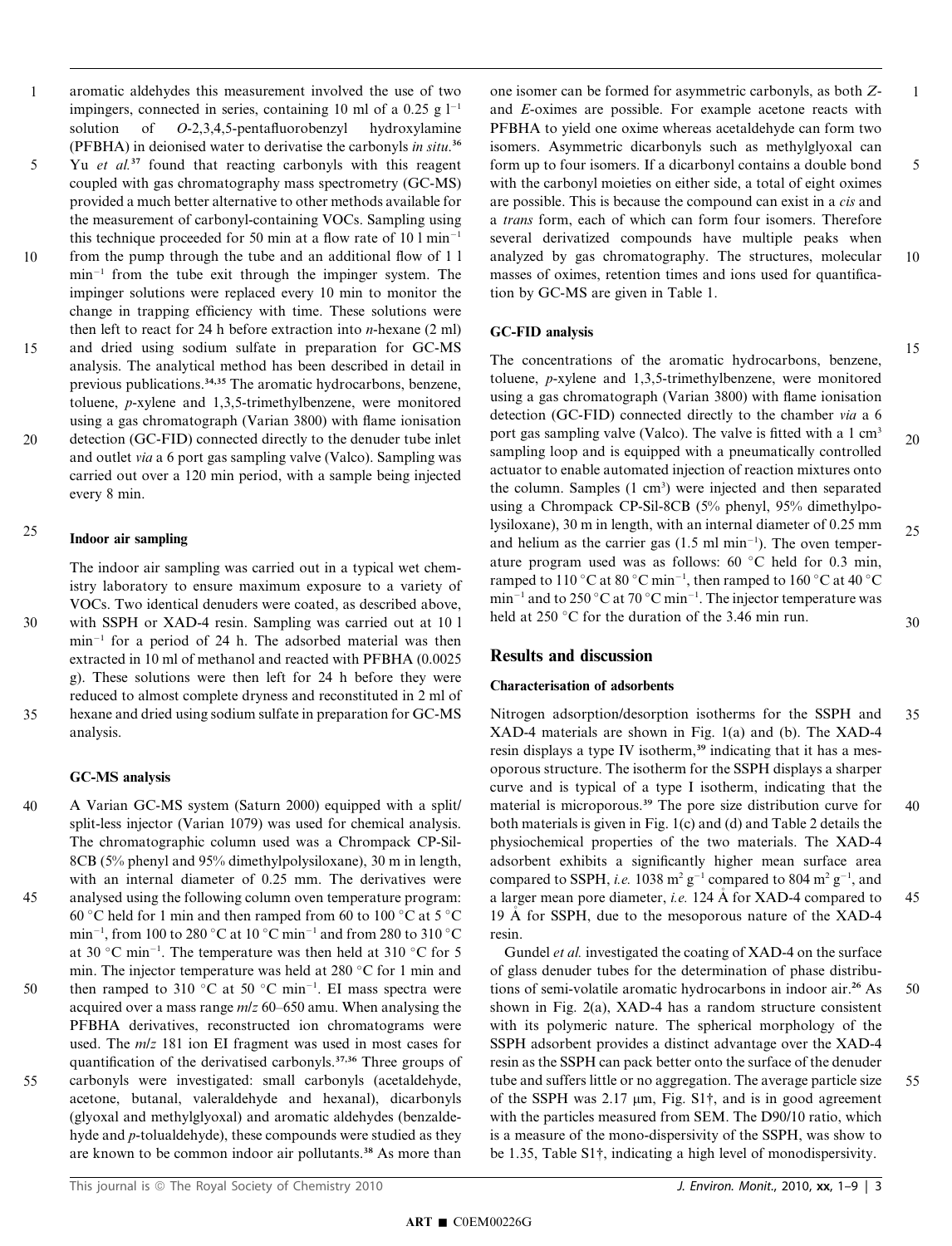aromatic aldehydes this measurement involved the use of two impingers, connected in series, containing 10 ml of a 0.25 g  $1^{-1}$ solution of O-2,3,4,5-pentafluorobenzyl hydroxylamine (PFBHA) in deionised water to derivatise the carbonyls in situ.<sup>36</sup> Yu et al.<sup>37</sup> found that reacting carbonyls with this reagent coupled with gas chromatography mass spectrometry (GC-MS) provided a much better alternative to other methods available for the measurement of carbonyl-containing VOCs. Sampling using this technique proceeded for 50 min at a flow rate of  $10 \text{ 1 min}^{-1}$ from the pump through the tube and an additional flow of 1 l  $min^{-1}$  from the tube exit through the impinger system. The impinger solutions were replaced every 10 min to monitor the change in trapping efficiency with time. These solutions were then left to react for 24 h before extraction into  $n$ -hexane (2 ml) and dried using sodium sulfate in preparation for GC-MS analysis. The analytical method has been described in detail in previous publications.34,35 The aromatic hydrocarbons, benzene, toluene, p-xylene and 1,3,5-trimethylbenzene, were monitored using a gas chromatograph (Varian 3800) with flame ionisation detection (GC-FID) connected directly to the denuder tube inlet and outlet via a 6 port gas sampling valve (Valco). Sampling was 1 5 10 15 20

#### Indoor air sampling 25

every 8 min.

The indoor air sampling was carried out in a typical wet chemistry laboratory to ensure maximum exposure to a variety of VOCs. Two identical denuders were coated, as described above, with SSPH or XAD-4 resin. Sampling was carried out at 10 l

carried out over a 120 min period, with a sample being injected

 $min^{-1}$  for a period of 24 h. The adsorbed material was then extracted in 10 ml of methanol and reacted with PFBHA (0.0025 g). These solutions were then left for 24 h before they were reduced to almost complete dryness and reconstituted in 2 ml of hexane and dried using sodium sulfate in preparation for GC-MS analysis. 30 35

### GC-MS analysis

A Varian GC-MS system (Saturn 2000) equipped with a split/ split-less injector (Varian 1079) was used for chemical analysis. The chromatographic column used was a Chrompack CP-Sil-8CB (5% phenyl and 95% dimethylpolysiloxane), 30 m in length, with an internal diameter of 0.25 mm. The derivatives were analysed using the following column oven temperature program: 60 °C held for 1 min and then ramped from 60 to 100 °C at 5 °C min<sup>-1</sup>, from 100 to 280 °C at 10 °C min<sup>-1</sup> and from 280 to 310 °C at 30 °C min<sup>-1</sup>. The temperature was then held at 310 °C for 5 min. The injector temperature was held at 280 °C for 1 min and then ramped to 310 °C at 50 °C min<sup>-1</sup>. EI mass spectra were acquired over a mass range  $m/z$  60–650 amu. When analysing the PFBHA derivatives, reconstructed ion chromatograms were used. The  $m/z$  181 ion EI fragment was used in most cases for quantification of the derivatised carbonyls.37,36 Three groups of carbonyls were investigated: small carbonyls (acetaldehyde, acetone, butanal, valeraldehyde and hexanal), dicarbonyls (glyoxal and methylglyoxal) and aromatic aldehydes (benzalde-40 45 50 55

one isomer can be formed for asymmetric carbonyls, as both Zand E-oximes are possible. For example acetone reacts with PFBHA to yield one oxime whereas acetaldehyde can form two isomers. Asymmetric dicarbonyls such as methylglyoxal can form up to four isomers. If a dicarbonyl contains a double bond with the carbonyl moieties on either side, a total of eight oximes are possible. This is because the compound can exist in a cis and a trans form, each of which can form four isomers. Therefore several derivatized compounds have multiple peaks when analyzed by gas chromatography. The structures, molecular masses of oximes, retention times and ions used for quantification by GC-MS are given in Table 1. 1 5 10

#### GC-FID analysis

The concentrations of the aromatic hydrocarbons, benzene, toluene, p-xylene and 1,3,5-trimethylbenzene, were monitored using a gas chromatograph (Varian 3800) with flame ionisation detection (GC-FID) connected directly to the chamber via a 6 port gas sampling valve (Valco). The valve is fitted with a 1 cm<sup>3</sup> sampling loop and is equipped with a pneumatically controlled actuator to enable automated injection of reaction mixtures onto the column. Samples (1 cm<sup>3</sup>) were injected and then separated using a Chrompack CP-Sil-8CB (5% phenyl, 95% dimethylpolysiloxane), 30 m in length, with an internal diameter of 0.25 mm and helium as the carrier gas  $(1.5 \text{ ml min}^{-1})$ . The oven temperature program used was as follows:  $60 °C$  held for 0.3 min, ramped to 110 °C at 80 °C min<sup>-1</sup>, then ramped to 160 °C at 40 °C min<sup>-1</sup> and to 250 °C at 70 °C min<sup>-1</sup>. The injector temperature was held at 250 °C for the duration of the 3.46 min run. 20 25 30

15

## Results and discussion

### Characterisation of adsorbents

Nitrogen adsorption/desorption isotherms for the SSPH and XAD-4 materials are shown in Fig. 1(a) and (b). The XAD-4 resin displays a type IV isotherm,<sup>39</sup> indicating that it has a mesoporous structure. The isotherm for the SSPH displays a sharper curve and is typical of a type I isotherm, indicating that the material is microporous.<sup>39</sup> The pore size distribution curve for both materials is given in Fig. 1(c) and (d) and Table 2 details the physiochemical properties of the two materials. The XAD-4 adsorbent exhibits a significantly higher mean surface area compared to SSPH, *i.e.* 1038 m<sup>2</sup> g<sup>-1</sup> compared to 804 m<sup>2</sup> g<sup>-1</sup>, and a larger mean pore diameter, i.e. 124 Å for XAD-4 compared to 19  $\AA$  for SSPH, due to the mesoporous nature of the XAD-4 resin. 35 40 45

Gundel et al. investigated the coating of XAD-4 on the surface of glass denuder tubes for the determination of phase distributions of semi-volatile aromatic hydrocarbons in indoor air.<sup>26</sup> As shown in Fig. 2(a), XAD-4 has a random structure consistent with its polymeric nature. The spherical morphology of the SSPH adsorbent provides a distinct advantage over the XAD-4 resin as the SSPH can pack better onto the surface of the denuder tube and suffers little or no aggregation. The average particle size of the SSPH was  $2.17 \mu m$ , Fig. S1 $\dagger$ , and is in good agreement with the particles measured from SEM. The D90/10 ratio, which is a measure of the mono-dispersivity of the SSPH, was show to be 1.35, Table S1†, indicating a high level of monodispersivity. 50 55

hyde and p-tolualdehyde), these compounds were studied as they are known to be common indoor air pollutants.<sup>38</sup> As more than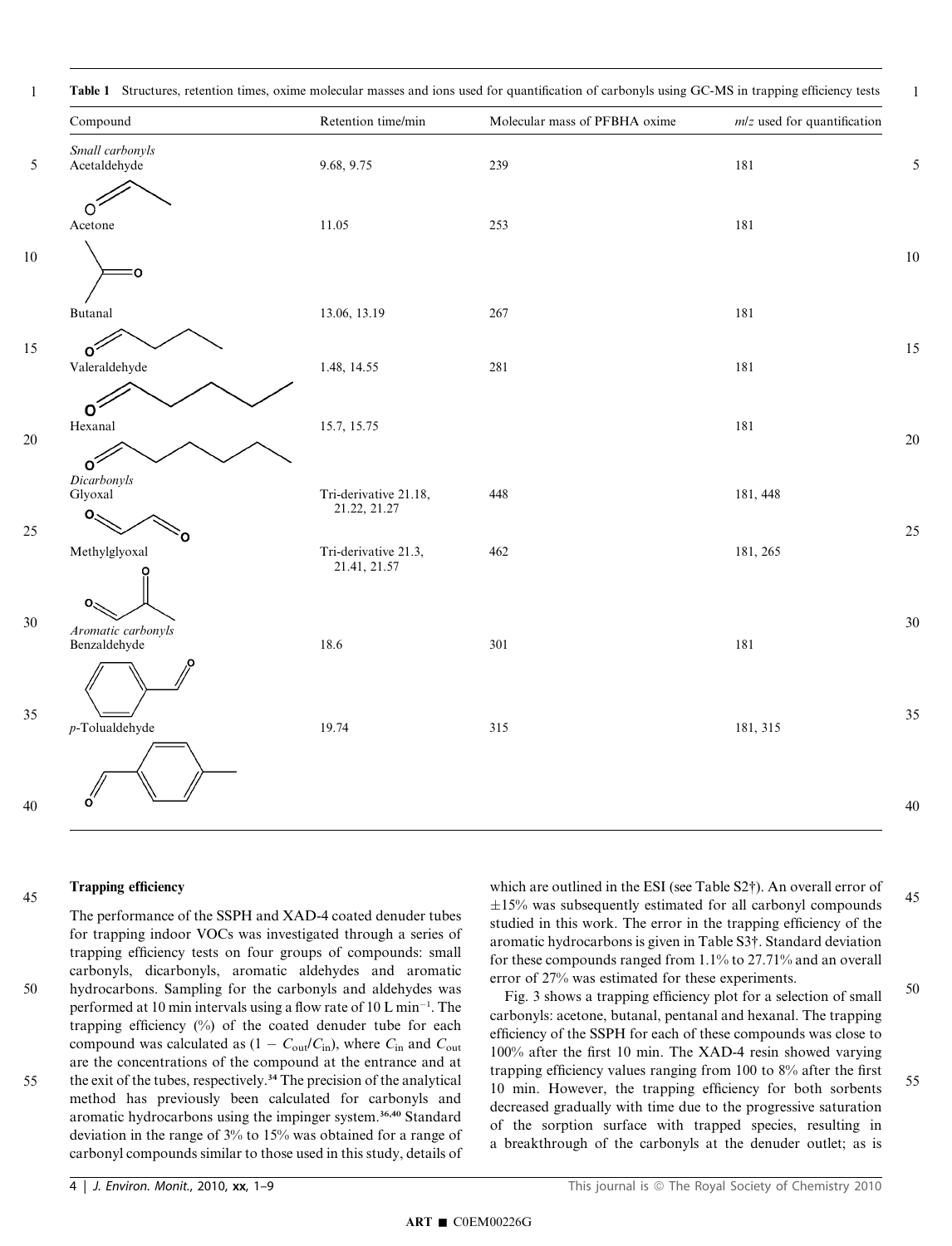| Compound                                         | Retention time/min                    | Molecular mass of PFBHA oxime | $m/z$ used for quantification |
|--------------------------------------------------|---------------------------------------|-------------------------------|-------------------------------|
| Small carbonyls<br>Acetaldehyde                  | 9.68, 9.75                            | 239                           | 181                           |
| റ<br>Acetone                                     | 11.05                                 | 253                           | 181                           |
| O                                                |                                       |                               |                               |
| <b>Butanal</b>                                   | 13.06, 13.19                          | 267                           | 181                           |
| Ωŕ<br>Valeraldehyde                              | 1.48, 14.55                           | $281\,$                       | 181                           |
| $\circ$<br>Hexanal                               | 15.7, 15.75                           |                               | 181                           |
| $\circ$<br>Dicarbonyls<br>Glyoxal<br>$O_{\zeta}$ | Tri-derivative 21.18,<br>21.22, 21.27 | 448                           | 181, 448                      |
| Ω<br>Methylglyoxal                               | Tri-derivative 21.3,<br>21.41, 21.57  | 462                           | 181, 265                      |
| O.<br>Aromatic carbonyls<br>Benzaldehyde         | 18.6                                  | 301                           | 181                           |
| $p$ -Tolualdehyde                                | 19.74                                 | 315                           | 181, 315                      |
|                                                  |                                       |                               |                               |

#### Trapping efficiency 45

50

55

The performance of the SSPH and XAD-4 coated denuder tubes for trapping indoor VOCs was investigated through a series of trapping efficiency tests on four groups of compounds: small carbonyls, dicarbonyls, aromatic aldehydes and aromatic hydrocarbons. Sampling for the carbonyls and aldehydes was performed at 10 min intervals using a flow rate of  $10 \text{ L min}^{-1}$ . The trapping efficiency (%) of the coated denuder tube for each compound was calculated as  $(1 - C_{out}/C_{in})$ , where  $C_{in}$  and  $C_{out}$ are the concentrations of the compound at the entrance and at the exit of the tubes, respectively.<sup>34</sup> The precision of the analytical method has previously been calculated for carbonyls and aromatic hydrocarbons using the impinger system.<sup>36,40</sup> Standard

deviation in the range of 3% to 15% was obtained for a range of carbonyl compounds similar to those used in this study, details of which are outlined in the ESI (see Table S2†). An overall error of  $\pm 15\%$  was subsequently estimated for all carbonyl compounds studied in this work. The error in the trapping efficiency of the aromatic hydrocarbons is given in Table S3†. Standard deviation for these compounds ranged from 1.1% to 27.71% and an overall error of 27% was estimated for these experiments. 45

Fig. 3 shows a trapping efficiency plot for a selection of small carbonyls: acetone, butanal, pentanal and hexanal. The trapping efficiency of the SSPH for each of these compounds was close to 100% after the first 10 min. The XAD-4 resin showed varying trapping efficiency values ranging from 100 to 8% after the first 10 min. However, the trapping efficiency for both sorbents decreased gradually with time due to the progressive saturation of the sorption surface with trapped species, resulting in a breakthrough of the carbonyls at the denuder outlet; as is 50 55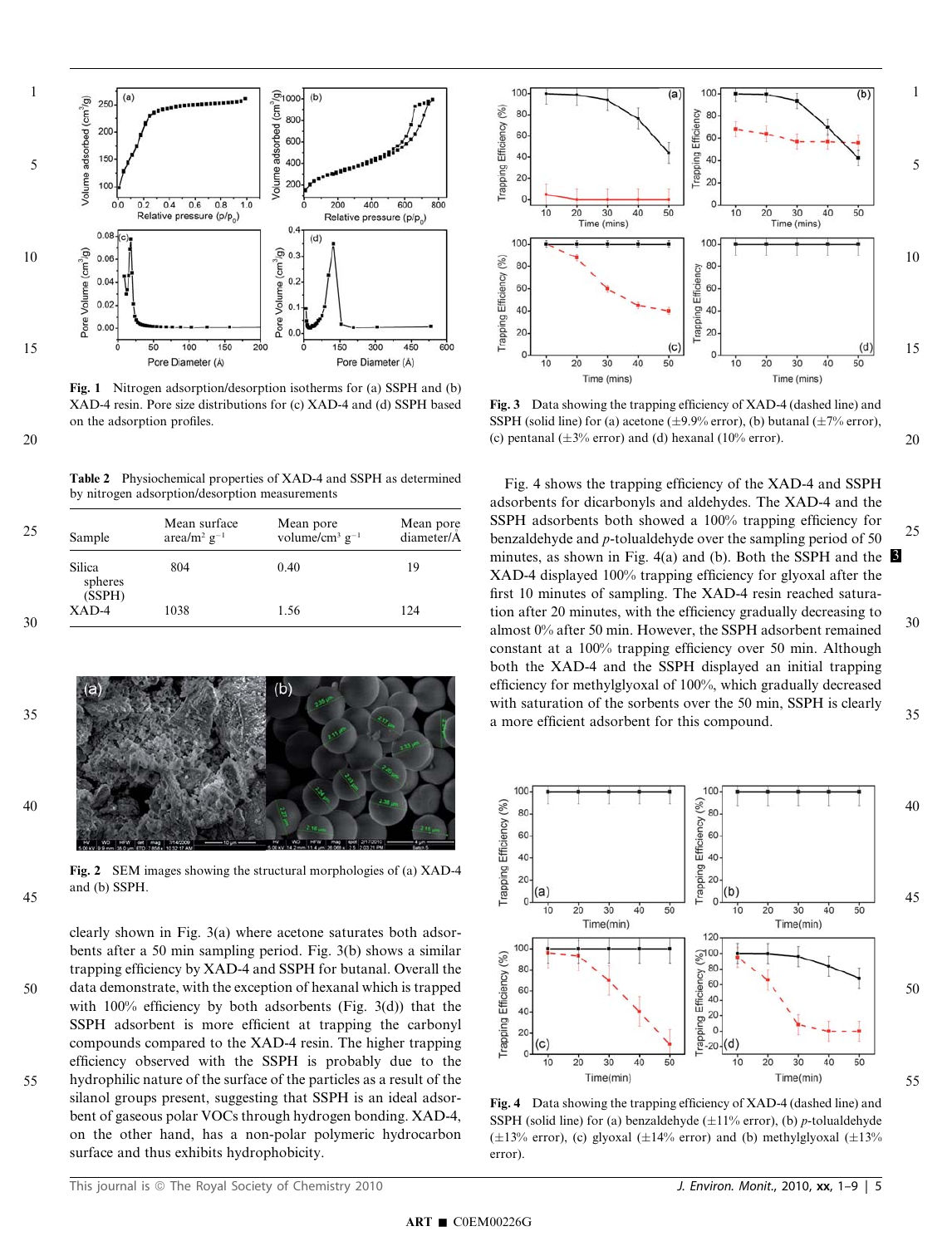

Fig. 1 Nitrogen adsorption/desorption isotherms for (a) SSPH and (b) XAD-4 resin. Pore size distributions for (c) XAD-4 and (d) SSPH based on the adsorption profiles.

Table 2 Physiochemical properties of XAD-4 and SSPH as determined by nitrogen adsorption/desorption measurements

| Sample                             | Mean surface<br>area/m <sup>2</sup> $g^{-1}$ | Mean pore<br>volume/cm <sup>3</sup> $g^{-1}$ | Mean pore<br>diameter/A |
|------------------------------------|----------------------------------------------|----------------------------------------------|-------------------------|
| <b>Silica</b><br>spheres<br>(SSPH) | 804                                          | 0.40                                         | 19                      |
| XAD-4                              | 1038                                         | 1.56                                         | 124                     |



Fig. 2 SEM images showing the structural morphologies of (a) XAD-4 and (b) SSPH.

35

40

45





Fig. 3 Data showing the trapping efficiency of XAD-4 (dashed line) and SSPH (solid line) for (a) acetone ( $\pm$ 9.9% error), (b) butanal ( $\pm$ 7% error), (c) pentanal  $(\pm 3\%$  error) and (d) hexanal (10% error).

20

Fig. 4 shows the trapping efficiency of the XAD-4 and SSPH adsorbents for dicarbonyls and aldehydes. The XAD-4 and the SSPH adsorbents both showed a 100% trapping efficiency for benzaldehyde and p-tolualdehyde over the sampling period of 50 minutes, as shown in Fig. 4(a) and (b). Both the SSPH and the  $\beta$ XAD-4 displayed 100% trapping efficiency for glyoxal after the first 10 minutes of sampling. The XAD-4 resin reached saturation after 20 minutes, with the efficiency gradually decreasing to almost 0% after 50 min. However, the SSPH adsorbent remained constant at a 100% trapping efficiency over 50 min. Although both the XAD-4 and the SSPH displayed an initial trapping efficiency for methylglyoxal of 100%, which gradually decreased with saturation of the sorbents over the 50 min, SSPH is clearly a more efficient adsorbent for this compound. 25 30 35



Fig. 4 Data showing the trapping efficiency of XAD-4 (dashed line) and SSPH (solid line) for (a) benzaldehyde  $(\pm 11\%$  error), (b) p-tolualdehyde ( $\pm 13\%$  error), (c) glyoxal ( $\pm 14\%$  error) and (b) methylglyoxal ( $\pm 13\%$ error).

surface and thus exhibits hydrophobicity.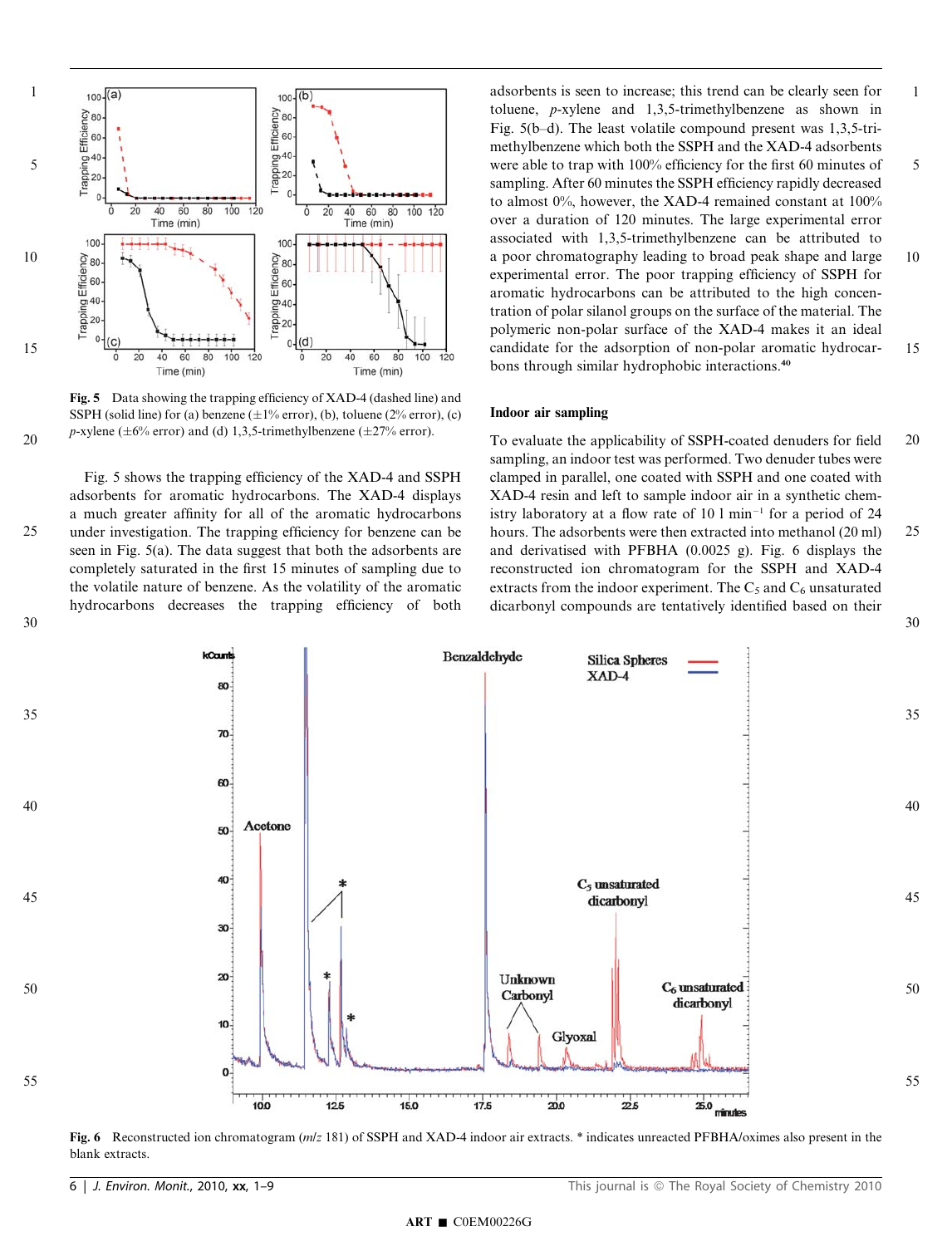

Fig. 5 Data showing the trapping efficiency of XAD-4 (dashed line) and SSPH (solid line) for (a) benzene  $(\pm 1\%$  error), (b), toluene (2% error), (c) p-xylene ( $\pm 6\%$  error) and (d) 1,3,5-trimethylbenzene ( $\pm 27\%$  error).

25

30

Fig. 5 shows the trapping efficiency of the XAD-4 and SSPH adsorbents for aromatic hydrocarbons. The XAD-4 displays a much greater affinity for all of the aromatic hydrocarbons under investigation. The trapping efficiency for benzene can be seen in Fig. 5(a). The data suggest that both the adsorbents are completely saturated in the first 15 minutes of sampling due to the volatile nature of benzene. As the volatility of the aromatic hydrocarbons decreases the trapping efficiency of both

adsorbents is seen to increase; this trend can be clearly seen for toluene, p-xylene and 1,3,5-trimethylbenzene as shown in Fig. 5(b–d). The least volatile compound present was 1,3,5-trimethylbenzene which both the SSPH and the XAD-4 adsorbents were able to trap with 100% efficiency for the first 60 minutes of sampling. After 60 minutes the SSPH efficiency rapidly decreased to almost 0%, however, the XAD-4 remained constant at 100% over a duration of 120 minutes. The large experimental error associated with 1,3,5-trimethylbenzene can be attributed to a poor chromatography leading to broad peak shape and large experimental error. The poor trapping efficiency of SSPH for aromatic hydrocarbons can be attributed to the high concentration of polar silanol groups on the surface of the material. The polymeric non-polar surface of the XAD-4 makes it an ideal candidate for the adsorption of non-polar aromatic hydrocarbons through similar hydrophobic interactions.<sup>40</sup> 1 5 10 15

#### Indoor air sampling

To evaluate the applicability of SSPH-coated denuders for field sampling, an indoor test was performed. Two denuder tubes were clamped in parallel, one coated with SSPH and one coated with XAD-4 resin and left to sample indoor air in a synthetic chemistry laboratory at a flow rate of  $10 \text{ 1 min}^{-1}$  for a period of 24 hours. The adsorbents were then extracted into methanol (20 ml) and derivatised with PFBHA (0.0025 g). Fig. 6 displays the reconstructed ion chromatogram for the SSPH and XAD-4 extracts from the indoor experiment. The  $C_5$  and  $C_6$  unsaturated dicarbonyl compounds are tentatively identified based on their 20 25 30



Fig. 6 Reconstructed ion chromatogram ( $m/z$  181) of SSPH and XAD-4 indoor air extracts. \* indicates unreacted PFBHA/oximes also present in the blank extracts.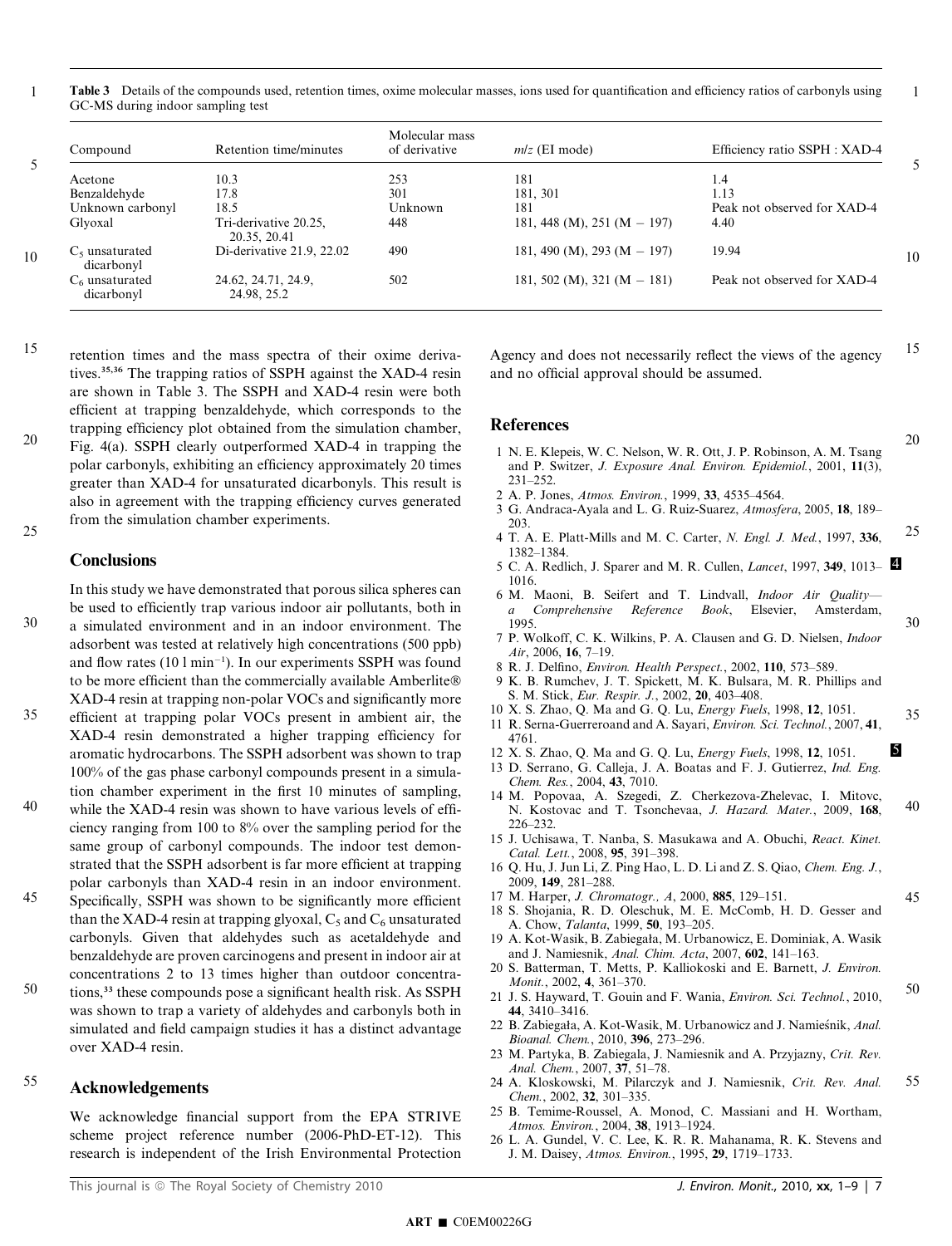Table 3 Details of the compounds used, retention times, oxime molecular masses, ions used for quantification and efficiency ratios of carbonyls using GC-MS during indoor sampling test 1

|    | Compound                        | Retention time/minutes                | Molecular mass<br>of derivative | $m/z$ (EI mode)               | Efficiency ratio SSPH : XAD-4 |    |
|----|---------------------------------|---------------------------------------|---------------------------------|-------------------------------|-------------------------------|----|
|    | Acetone                         | 10.3                                  | 253                             | 181                           | 1.4                           |    |
|    | Benzaldehyde                    | 17.8                                  | 301                             | 181.301                       | 1.13                          |    |
|    | Unknown carbonyl                | 18.5                                  | Unknown                         | 181                           | Peak not observed for XAD-4   |    |
|    | Glyoxal                         | Tri-derivative 20.25,<br>20.35, 20.41 | 448                             | 181, 448 (M), 251 (M $-$ 197) | 4.40                          |    |
| 10 | $C_5$ unsaturated<br>dicarbonyl | Di-derivative 21.9, 22.02             | 490                             | 181, 490 (M), 293 (M $-$ 197) | 19.94                         | 10 |
|    | $C6$ unsaturated<br>dicarbonyl  | 24.62, 24.71, 24.9,<br>24.98, 25.2    | 502                             | 181, 502 (M), 321 (M $-$ 181) | Peak not observed for XAD-4   |    |

retention times and the mass spectra of their oxime derivatives.35,36 The trapping ratios of SSPH against the XAD-4 resin are shown in Table 3. The SSPH and XAD-4 resin were both efficient at trapping benzaldehyde, which corresponds to the trapping efficiency plot obtained from the simulation chamber, Fig. 4(a). SSPH clearly outperformed XAD-4 in trapping the polar carbonyls, exhibiting an efficiency approximately 20 times 20

greater than XAD-4 for unsaturated dicarbonyls. This result is also in agreement with the trapping efficiency curves generated from the simulation chamber experiments. 25

## **Conclusions**

In this study we have demonstrated that porous silica spheres can be used to efficiently trap various indoor air pollutants, both in a simulated environment and in an indoor environment. The adsorbent was tested at relatively high concentrations (500 ppb) and flow rates  $(101 \text{ min}^{-1})$ . In our experiments SSPH was found to be more efficient than the commercially available Amberlite® XAD-4 resin at trapping non-polar VOCs and significantly more 30

- efficient at trapping polar VOCs present in ambient air, the XAD-4 resin demonstrated a higher trapping efficiency for aromatic hydrocarbons. The SSPH adsorbent was shown to trap 100% of the gas phase carbonyl compounds present in a simulation chamber experiment in the first 10 minutes of sampling, 35
- while the XAD-4 resin was shown to have various levels of efficiency ranging from 100 to 8% over the sampling period for the same group of carbonyl compounds. The indoor test demonstrated that the SSPH adsorbent is far more efficient at trapping polar carbonyls than XAD-4 resin in an indoor environment. 40
- Specifically, SSPH was shown to be significantly more efficient than the XAD-4 resin at trapping glyoxal,  $C_5$  and  $C_6$  unsaturated carbonyls. Given that aldehydes such as acetaldehyde and benzaldehyde are proven carcinogens and present in indoor air at concentrations 2 to 13 times higher than outdoor concentra-45
- tions,<sup>33</sup> these compounds pose a significant health risk. As SSPH was shown to trap a variety of aldehydes and carbonyls both in simulated and field campaign studies it has a distinct advantage over XAD-4 resin. 50

#### Acknowledgements 55

We acknowledge financial support from the EPA STRIVE scheme project reference number (2006-PhD-ET-12). This research is independent of the Irish Environmental Protection

Agency and does not necessarily reflect the views of the agency and no official approval should be assumed. 15

1

20

30

35

45

## References

- 1 N. E. Klepeis, W. C. Nelson, W. R. Ott, J. P. Robinson, A. M. Tsang and P. Switzer, J. Exposure Anal. Environ. Epidemiol., 2001, 11(3), 231–252.
- 2 A. P. Jones, Atmos. Environ., 1999, 33, 4535–4564.
- 3 G. Andraca-Ayala and L. G. Ruiz-Suarez, Atmosfera, 2005, 18, 189– 203.
- 4 T. A. E. Platt-Mills and M. C. Carter, N. Engl. J. Med., 1997, 336, 1382–1384. 25
- 5 C. A. Redlich, J. Sparer and M. R. Cullen, *Lancet*, 1997, 349, 1013– 1016.
- 6 M. Maoni, B. Seifert and T. Lindvall, Indoor Air Quality a Comprehensive Reference Book, Elsevier, Amsterdam, 1995.
- 7 P. Wolkoff, C. K. Wilkins, P. A. Clausen and G. D. Nielsen, Indoor Air, 2006, 16, 7–19.
- 8 R. J. Delfino, Environ. Health Perspect., 2002, 110, 573–589.
- 9 K. B. Rumchev, J. T. Spickett, M. K. Bulsara, M. R. Phillips and S. M. Stick, Eur. Respir. J., 2002, 20, 403–408.
- 10 X. S. Zhao, Q. Ma and G. Q. Lu, Energy Fuels, 1998, 12, 1051.
- 11 R. Serna-Guerreroand and A. Sayari, Environ. Sci. Technol., 2007, 41, 4761.
- 12 X. S. Zhao, Q. Ma and G. Q. Lu, *Energy Fuels*, 1998, 12, 1051. 5
- 13 D. Serrano, G. Calleja, J. A. Boatas and F. J. Gutierrez, Ind. Eng. Chem. Res., 2004, 43, 7010.
- 14 M. Popovaa, A. Szegedi, Z. Cherkezova-Zhelevac, I. Mitovc, N. Kostovac and T. Tsonchevaa, J. Hazard. Mater., 2009, 168, 226–232. 40
- 15 J. Uchisawa, T. Nanba, S. Masukawa and A. Obuchi, React. Kinet. Catal. Lett., 2008, 95, 391–398.
- 16 Q. Hu, J. Jun Li, Z. Ping Hao, L. D. Li and Z. S. Qiao, Chem. Eng. J., 2009, 149, 281–288.
- 17 M. Harper, J. Chromatogr., A, 2000, 885, 129–151.
- 18 S. Shojania, R. D. Oleschuk, M. E. McComb, H. D. Gesser and A. Chow, Talanta, 1999, 50, 193–205.
- 19 A. Kot-Wasik, B. Zabiegała, M. Urbanowicz, E. Dominiak, A. Wasik and J. Namiesnik, Anal. Chim. Acta, 2007, 602, 141–163.
- 20 S. Batterman, T. Metts, P. Kalliokoski and E. Barnett, J. Environ. Monit., 2002, 4, 361–370.
- 21 J. S. Hayward, T. Gouin and F. Wania, Environ. Sci. Technol., 2010, 44, 3410–3416. 50
- 22 B. Zabiegała, A. Kot-Wasik, M. Urbanowicz and J. Namieśnik, Anal. Bioanal. Chem., 2010, 396, 273–296.
- 23 M. Partyka, B. Zabiegala, J. Namiesnik and A. Przyjazny, Crit. Rev. Anal. Chem., 2007, 37, 51–78.
- 24 A. Kloskowski, M. Pilarczyk and J. Namiesnik, Crit. Rev. Anal. Chem., 2002, 32, 301–335. 55
- 25 B. Temime-Roussel, A. Monod, C. Massiani and H. Wortham, Atmos. Environ., 2004, 38, 1913–1924.
- 26 L. A. Gundel, V. C. Lee, K. R. R. Mahanama, R. K. Stevens and J. M. Daisey, Atmos. Environ., 1995, 29, 1719–1733.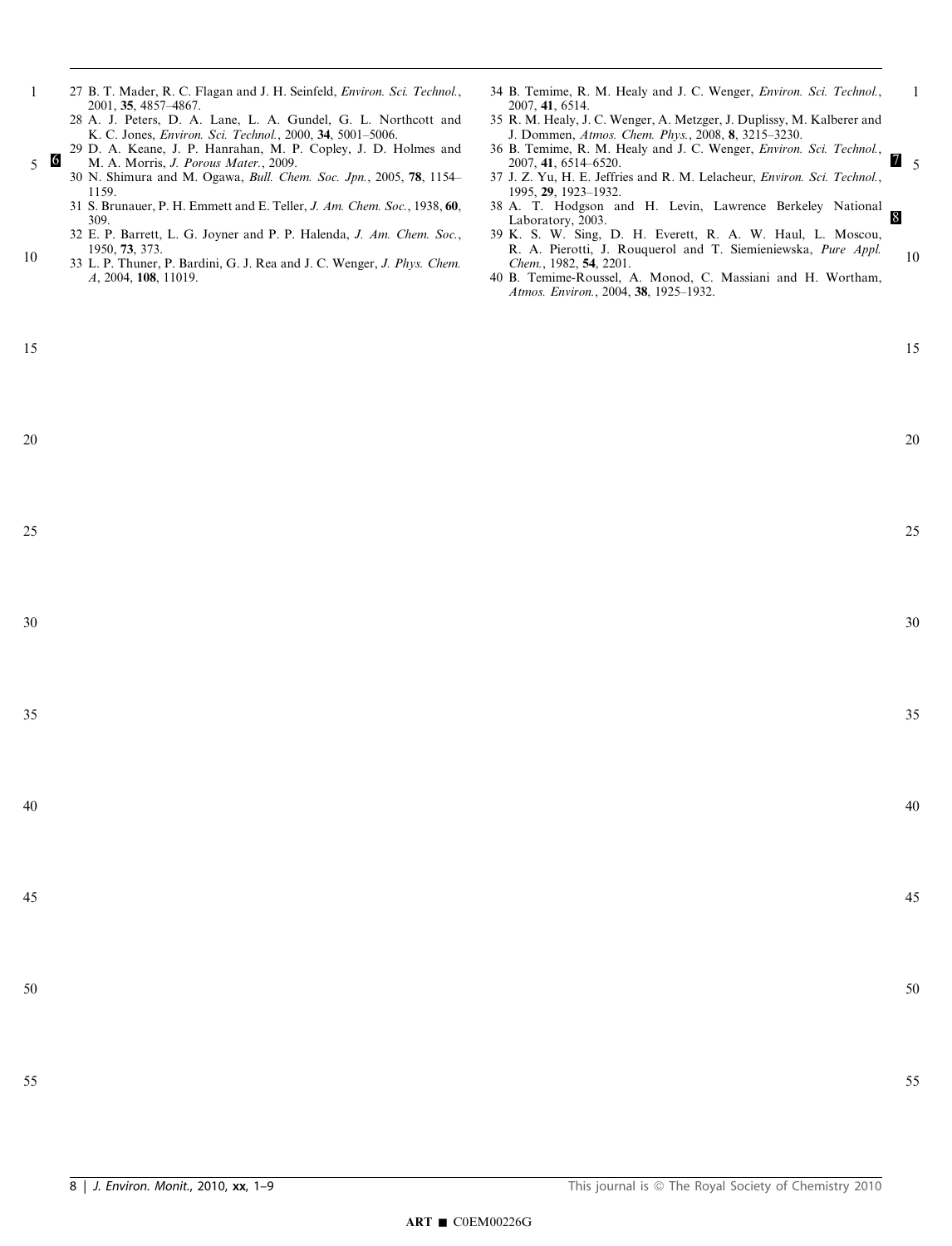- 27 B. T. Mader, R. C. Flagan and J. H. Seinfeld, Environ. Sci. Technol., 2001, 35, 4857–4867.
	- 28 A. J. Peters, D. A. Lane, L. A. Gundel, G. L. Northcott and K. C. Jones, Environ. Sci. Technol., 2000, 34, 5001–5006.
- 29 D. A. Keane, J. P. Hanrahan, M. P. Copley, J. D. Holmes and <sup>6</sup> M. A. Morris, J. Porous Mater., 2009.  $5\quad 6$ 
	- 30 N. Shimura and M. Ogawa, Bull. Chem. Soc. Jpn., 2005, 78, 1154– 1159.
	- 31 S. Brunauer, P. H. Emmett and E. Teller, J. Am. Chem. Soc., 1938, 60, 309.
	- 32 E. P. Barrett, L. G. Joyner and P. P. Halenda, J. Am. Chem. Soc., 1950, 73, 373.
- 33 L. P. Thuner, P. Bardini, G. J. Rea and J. C. Wenger, J. Phys. Chem. A, 2004, 108, 11019. 10
- 34 B. Temime, R. M. Healy and J. C. Wenger, Environ. Sci. Technol., 2007, 41, 6514.
- 35 R. M. Healy, J. C. Wenger, A. Metzger, J. Duplissy, M. Kalberer and J. Dommen, Atmos. Chem. Phys., 2008, 8, 3215–3230.
- 36 B. Temime, R. M. Healy and J. C. Wenger, Environ. Sci. Technol., 2007, 41, 6514–6520. 7  $\overline{a}$  5
- 37 J. Z. Yu, H. E. Jeffries and R. M. Lelacheur, Environ. Sci. Technol., 1995, 29, 1923–1932.
- 38 A. T. Hodgson and H. Levin, Lawrence Berkeley National Laboratory, 2003.
- 39 K. S. W. Sing, D. H. Everett, R. A. W. Haul, L. Moscou, R. A. Pierotti, J. Rouquerol and T. Siemieniewska, Pure Appl. Chem., 1982, 54, 2201. 10
- 40 B. Temime-Roussel, A. Monod, C. Massiani and H. Wortham, Atmos. Environ., 2004, 38, 1925–1932.

20

25

30

35

40

45

1

15

1

20

25

30

35

40

45

50

50

55

- 
- 55